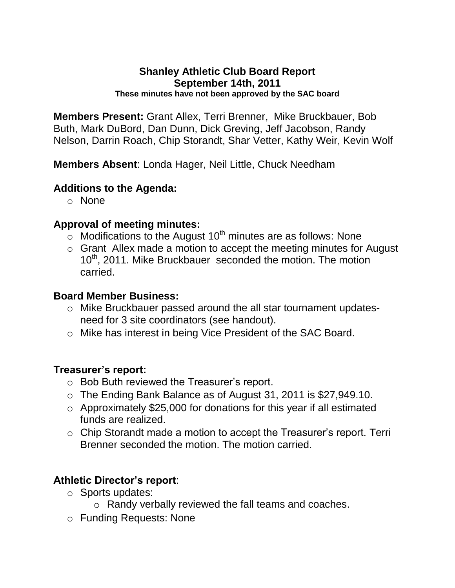# **Shanley Athletic Club Board Report September 14th, 2011**

**These minutes have not been approved by the SAC board**

**Members Present:** Grant Allex, Terri Brenner, Mike Bruckbauer, Bob Buth, Mark DuBord, Dan Dunn, Dick Greving, Jeff Jacobson, Randy Nelson, Darrin Roach, Chip Storandt, Shar Vetter, Kathy Weir, Kevin Wolf

**Members Absent**: Londa Hager, Neil Little, Chuck Needham

## **Additions to the Agenda:**

o None

## **Approval of meeting minutes:**

- $\circ$  Modifications to the August 10<sup>th</sup> minutes are as follows: None
- o Grant Allex made a motion to accept the meeting minutes for August 10<sup>th</sup>, 2011. Mike Bruckbauer seconded the motion. The motion carried.

#### **Board Member Business:**

- o Mike Bruckbauer passed around the all star tournament updatesneed for 3 site coordinators (see handout).
- o Mike has interest in being Vice President of the SAC Board.

#### **Treasurer's report:**

- o Bob Buth reviewed the Treasurer's report.
- o The Ending Bank Balance as of August 31, 2011 is \$27,949.10.
- o Approximately \$25,000 for donations for this year if all estimated funds are realized.
- o Chip Storandt made a motion to accept the Treasurer's report. Terri Brenner seconded the motion. The motion carried.

## **Athletic Director's report**:

- o Sports updates:
	- o Randy verbally reviewed the fall teams and coaches.
- o Funding Requests: None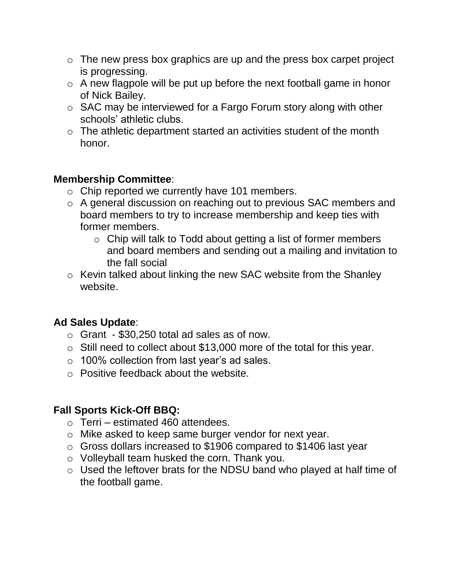- $\circ$  The new press box graphics are up and the press box carpet project is progressing.
- $\circ$  A new flagpole will be put up before the next football game in honor of Nick Bailey.
- o SAC may be interviewed for a Fargo Forum story along with other schools' athletic clubs.
- $\circ$  The athletic department started an activities student of the month honor.

# **Membership Committee**:

- o Chip reported we currently have 101 members.
- o A general discussion on reaching out to previous SAC members and board members to try to increase membership and keep ties with former members.
	- o Chip will talk to Todd about getting a list of former members and board members and sending out a mailing and invitation to the fall social
- o Kevin talked about linking the new SAC website from the Shanley website.

# **Ad Sales Update**:

- $\circ$  Grant \$30,250 total ad sales as of now.
- o Still need to collect about \$13,000 more of the total for this year.
- o 100% collection from last year's ad sales.
- o Positive feedback about the website.

# **Fall Sports Kick-Off BBQ:**

- $\circ$  Terri estimated 460 attendees.
- o Mike asked to keep same burger vendor for next year.
- o Gross dollars increased to \$1906 compared to \$1406 last year
- o Volleyball team husked the corn. Thank you.
- o Used the leftover brats for the NDSU band who played at half time of the football game.